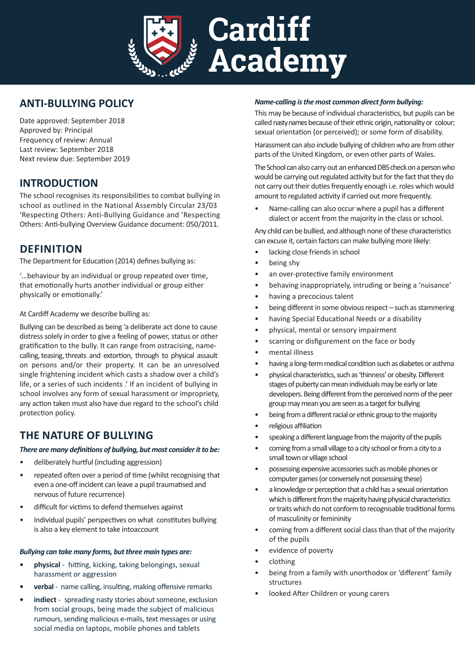

# **ANTI-BULLYING POLICY**

Date approved: September 2018 Approved by: Principal Frequency of review: Annual Last review: September 2018 Next review due: September 2019

# **INTRODUCTION**

The school recognises its responsibilities to combat bullying in school as outlined in the National Assembly Circular 23/03 'Respecting Others: Anti-Bullying Guidance and 'Respecting Others: Anti-bullying Overview Guidance document: 050/2011.

# **DEFINITION**

The Department for Education (2014) defines bullying as:

'…behaviour by an individual or group repeated over time, that emotionally hurts another individual or group either physically or emotionally.'

### At Cardiff Academy we describe bulling as:

Bullying can be described as being 'a deliberate act done to cause distress solely in order to give a feeling of power, status or other gratification to the bully. It can range from ostracising, namecalling, teasing, threats and extortion, through to physical assault on persons and/or their property. It can be an unresolved single frightening incident which casts a shadow over a child's life, or a series of such incidents .' If an incident of bullying in school involves any form of sexual harassment or impropriety, any action taken must also have due regard to the school's child protection policy.

# **THE NATURE OF BULLYING**

### *There are many definitions of bullying, but most consider it to be:*

- deliberately hurtful (including aggression)
- repeated often over a period of time (whilst recognising that even a one-off incident can leave a pupil traumatised and nervous of future recurrence)
- difficult for victims to defend themselves against
- Individual pupils' perspectives on what constitutes bullying is also a key element to take intoaccount

### *Bullying can take many forms, but three main types are:*

- **• physical** hitting, kicking, taking belongings, sexual harassment or aggression
- **• verbal** name calling, insulting, making offensive remarks
- **• indiect**  spreading nasty stories about someone, exclusion from social groups, being made the subject of malicious rumours, sending malicious e-mails, text messages or using social media on laptops, mobile phones and tablets

### *Name-calling is the most common direct form bullying:*

This may be because of individual characteristics, but pupils can be called nasty names because of their ethnic origin, nationality or colour; sexual orientation (or perceived); or some form of disability.

Harassment can also include bullying of children who are from other parts of the United Kingdom, or even other parts of Wales.

The School can also carry out an enhanced DBS check on a person who would be carrying out regulated activity but for the fact that they do not carry out their duties frequently enough i.e. roles which would amount to regulated activity if carried out more frequently.

• Name-calling can also occur where a pupil has a different dialect or accent from the majority in the class or school.

Any child can be bullied, and although none of these characteristics can excuse it, certain factors can make bullying more likely:

- lacking close friends in school
- being shy
- an over-protective family environment
- behaving inappropriately, intruding or being a 'nuisance'
- having a precocious talent
- being different in some obvious respect such as stammering
- having Special Educational Needs or a disability
- physical, mental or sensory impairment
- scarring or disfigurement on the face or body
- mental illness
- having a long-term medical condition such as diabetes or asthma
- physical characteristics, such as 'thinness' or obesity. Different stages of puberty can mean individuals may be early or late developers. Being different from the perceived norm of the peer group may mean you are seen as a target for bullying
- being from a different racial or ethnic group to the majority
- religious affiliation
- speaking a different language from the majority of the pupils
- coming from a small village to a city school or from a city to a small town or village school
- possessing expensive accessories such as mobile phones or computer games (or conversely not possessing these)
- a knowledge or perception that a child has a sexual orientation which is different from the majority having physical characteristics or traits which do not conform to recognisable traditional forms of masculinity or femininity
- coming from a different social class than that of the majority of the pupils
- evidence of poverty
- clothing
- being from a family with unorthodox or 'different' family structures
- looked After Children or young carers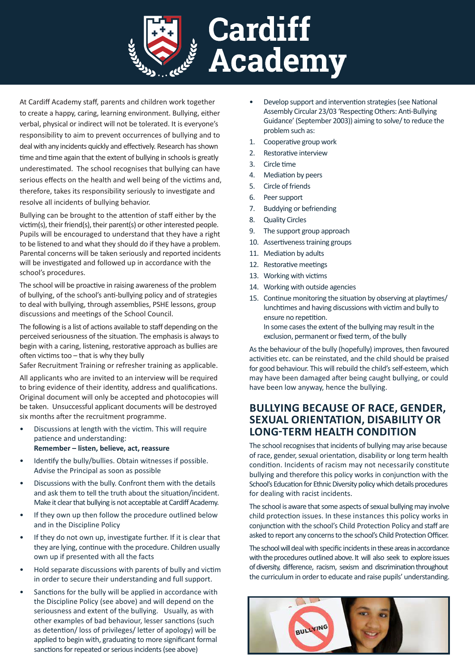

At Cardiff Academy staff, parents and children work together to create a happy, caring, learning environment. Bullying, either verbal, physical or indirect will not be tolerated. It is everyone's responsibility to aim to prevent occurrences of bullying and to deal with any incidents quickly and effectively. Research has shown time and time again that the extent of bullying in schools is greatly underestimated. The school recognises that bullying can have serious effects on the health and well being of the victims and, therefore, takes its responsibility seriously to investigate and resolve all incidents of bullying behavior.

Bullying can be brought to the attention of staff either by the victim(s), their friend(s), their parent(s) or other interested people. Pupils will be encouraged to understand that they have a right to be listened to and what they should do if they have a problem. Parental concerns will be taken seriously and reported incidents will be investigated and followed up in accordance with the school's procedures.

The school will be proactive in raising awareness of the problem of bullying, of the school's anti-bullying policy and of strategies to deal with bullying, through assemblies, PSHE lessons, group discussions and meetings of the School Council.

The following is a list of actions available to staff depending on the perceived seriousness of the situation. The emphasis is always to begin with a caring, listening, restorative approach as bullies are often victims too – that is why they bully

Safer Recruitment Training or refresher training as applicable.

All applicants who are invited to an interview will be required to bring evidence of their identity, address and qualifications. Original document will only be accepted and photocopies will be taken. Unsuccessful applicant documents will be destroyed six months after the recruitment programme.

- Discussions at length with the victim. This will require patience and understanding: **Remember – listen, believe, act, reassure**
- Identify the bully/bullies. Obtain witnesses if possible. Advise the Principal as soon as possible
- Discussions with the bully. Confront them with the details and ask them to tell the truth about the situation/incident. Make it clear that bullying is not acceptable at Cardiff Academy.
- If they own up then follow the procedure outlined below and in the Discipline Policy
- If they do not own up, investigate further. If it is clear that they are lying, continue with the procedure. Children usually own up if presented with all the facts
- Hold separate discussions with parents of bully and victim in order to secure their understanding and full support.
- Sanctions for the bully will be applied in accordance with the Discipline Policy (see above) and will depend on the seriousness and extent of the bullying. Usually, as with other examples of bad behaviour, lesser sanctions (such as detention/ loss of privileges/ letter of apology) will be applied to begin with, graduating to more significant formal sanctions for repeated or serious incidents (see above)
- Develop support and intervention strategies (see National Assembly Circular 23/03 'Respecting Others: Anti-Bullying Guidance' (September 2003)) aiming to solve/ to reduce the problem such as:
- 1. Cooperative group work
- 2. Restorative interview
- 3. Circle time
- 4. Mediation by peers
- 5. Circle of friends
- 6. Peer support
- 7. Buddying or befriending
- 8. Quality Circles
- 9. The support group approach
- 10. Assertiveness training groups
- 11. Mediation by adults
- 12. Restorative meetings
- 13. Working with victims
- 14. Working with outside agencies
- 15. Continue monitoring the situation by observing at playtimes/ lunchtimes and having discussions with victim and bully to ensure no repetition.
	- In some cases the extent of the bullying may result in the exclusion, permanent or fixed term, of the bully

As the behaviour of the bully (hopefully) improves, then favoured activities etc. can be reinstated, and the child should be praised for good behaviour. This will rebuild the child's self-esteem, which may have been damaged after being caught bullying, or could have been low anyway, hence the bullying.

## **BULLYING BECAUSE OF RACE, GENDER, SEXUAL ORIENTATION, DISABILITY OR LONG-TERM HEALTH CONDITION**

The school recognises that incidents of bullying may arise because of race, gender, sexual orientation, disability or long term health condition. Incidents of racism may not necessarily constitute bullying and therefore this policy works in conjunction with the School's Education for Ethnic Diversity policy which details procedures for dealing with racist incidents.

The school is aware that some aspects of sexual bullying may involve child protection issues. In these instances this policy works in conjunction with the school's Child Protection Policy and staff are asked to report any concerns to the school's Child Protection Officer.

The school will deal with specific incidents in these areas in accordance with the procedures outlined above. It will also seek to explore issues of diversity, difference, racism, sexism and discrimination throughout the curriculum in order to educate and raise pupils' understanding.

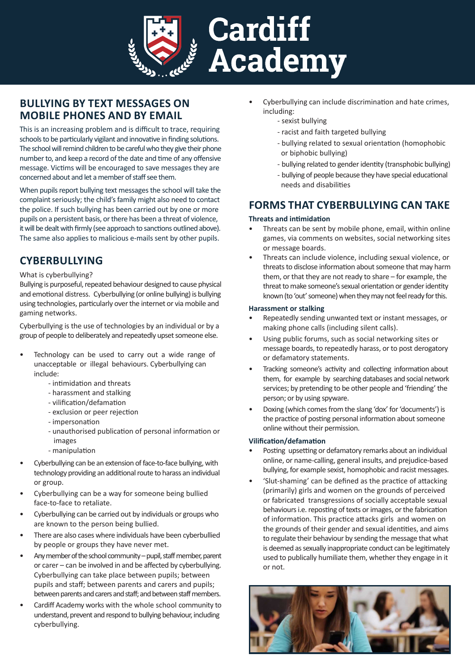

# **BULLYING BY TEXT MESSAGES ON MOBILE PHONES AND BY EMAIL**

This is an increasing problem and is difficult to trace, requiring schools to be particularly vigilant and innovative in finding solutions. The school will remind children to be careful who they give their phone number to, and keep a record of the date and time of any offensive message. Victims will be encouraged to save messages they are concerned about and let a member of staff see them.

When pupils report bullying text messages the school will take the complaint seriously; the child's family might also need to contact the police. If such bullying has been carried out by one or more pupils on a persistent basis, or there has been a threat of violence, it will be dealt with firmly (see approach to sanctions outlined above). The same also applies to malicious e-mails sent by other pupils.

# **CYBERBULLYING**

#### What is cyberbullying?

Bullying is purposeful, repeated behaviour designed to cause physical and emotional distress. Cyberbullying (or online bullying) is bullying using technologies, particularly over the internet or via mobile and gaming networks.

Cyberbullying is the use of technologies by an individual or by a group of people to deliberately and repeatedly upset someone else.

- Technology can be used to carry out a wide range of unacceptable or illegal behaviours. Cyberbullying can include:
	- intimidation and threats
	- harassment and stalking
	- vilification/defamation
	- exclusion or peer rejection
	- impersonation
	- unauthorised publication of personal information or images
	- manipulation
- Cyberbullying can be an extension of face-to-face bullying, with technology providing an additional route to harass an individual or group.
- Cyberbullying can be a way for someone being bullied face-to-face to retaliate.
- Cyberbullying can be carried out by individuals or groups who are known to the person being bullied.
- There are also cases where individuals have been cyberbullied by people or groups they have never met.
- Any member of the school community pupil, staff member, parent or carer – can be involved in and be affected by cyberbullying. Cyberbullying can take place between pupils; between pupils and staff; between parents and carers and pupils; between parents and carers and staff; and between staff members.
- Cardiff Academy works with the whole school community to understand, prevent and respond to bullying behaviour, including cyberbullying.
- Cyberbullying can include discrimination and hate crimes, including:
	- sexist bullying
	- racist and faith targeted bullying
	- bullying related to sexual orientation (homophobic or biphobic bullying)
	- bullying related to gender identity (transphobic bullying)
	- bullying of people because they have special educational needs and disabilities

# **FORMS THAT CYBERBULLYING CAN TAKE**

#### **Threats and intimidation**

- Threats can be sent by mobile phone, email, within online games, via comments on websites, social networking sites or message boards.
- Threats can include violence, including sexual violence, or threats to disclose information about someone that may harm them, or that they are not ready to share – for example, the threat to make someone's sexual orientation or gender identity known (to 'out' someone) when they may not feel ready for this.

#### **Harassment or stalking**

- Repeatedly sending unwanted text or instant messages, or making phone calls (including silent calls).
- Using public forums, such as social networking sites or message boards, to repeatedly harass, or to post derogatory or defamatory statements.
- Tracking someone's activity and collecting information about them, for example by searching databases and social network services; by pretending to be other people and 'friending' the person; or by using spyware.
- Doxing (which comes from the slang 'dox' for 'documents') is the practice of posting personal information about someone online without their permission.

### **Vilification/defamation**

- Posting upsetting or defamatory remarks about an individual online, or name-calling, general insults, and prejudice-based bullying, for example sexist, homophobic and racist messages.
- 'Slut-shaming' can be defined as the practice of attacking (primarily) girls and women on the grounds of perceived or fabricated transgressions of socially acceptable sexual behaviours i.e. reposting of texts or images, or the fabrication of information. This practice attacks girls and women on the grounds of their gender and sexual identities, and aims to regulate their behaviour by sending the message that what is deemed as sexually inappropriate conduct can be legitimately used to publically humiliate them, whether they engage in it or not.

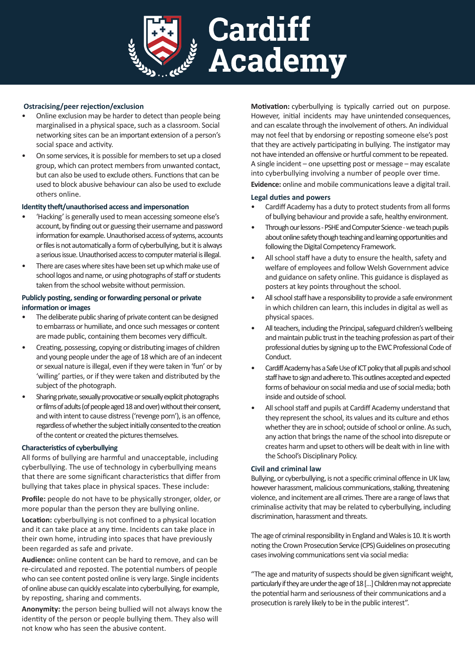

### **Ostracising/peer rejection/exclusion**

- Online exclusion may be harder to detect than people being marginalised in a physical space, such as a classroom. Social networking sites can be an important extension of a person's social space and activity.
- On some services, it is possible for members to set up a closed group, which can protect members from unwanted contact, but can also be used to exclude others. Functions that can be used to block abusive behaviour can also be used to exclude others online.

#### **Identity theft/unauthorised access and impersonation**

- 'Hacking' is generally used to mean accessing someone else's account, by finding out or guessing their username and password information for example. Unauthorised access of systems, accounts or files is not automatically a form of cyberbullying, but it is always a serious issue. Unauthorised access to computer material is illegal.
- There are cases where sites have been set up which make use of school logos and name, or using photographs of staff or students taken from the school website without permission.

#### **Publicly posting, sending or forwarding personal or private information or images**

- The deliberate public sharing of private content can be designed to embarrass or humiliate, and once such messages or content are made public, containing them becomes very difficult.
- Creating, possessing, copying or distributing images of children and young people under the age of 18 which are of an indecent or sexual nature is illegal, even if they were taken in 'fun' or by 'willing' parties, or if they were taken and distributed by the subject of the photograph.
- Sharing private, sexually provocative or sexually explicit photographs or films of adults (of people aged 18 and over) without their consent, and with intent to cause distress ('revenge porn'), is an offence, regardless of whether the subject initially consented to the creation of the content or created the pictures themselves.

#### **Characteristics of cyberbullying**

All forms of bullying are harmful and unacceptable, including cyberbullying. The use of technology in cyberbullying means that there are some significant characteristics that differ from bullying that takes place in physical spaces. These include:

**Profile:** people do not have to be physically stronger, older, or more popular than the person they are bullying online.

**Location:** cyberbullying is not confined to a physical location and it can take place at any time. Incidents can take place in their own home, intruding into spaces that have previously been regarded as safe and private.

**Audience:** online content can be hard to remove, and can be re-circulated and reposted. The potential numbers of people who can see content posted online is very large. Single incidents of online abuse can quickly escalate into cyberbullying, for example, by reposting, sharing and comments.

**Anonymity:** the person being bullied will not always know the identity of the person or people bullying them. They also will not know who has seen the abusive content.

**Motivation:** cyberbullying is typically carried out on purpose. However, initial incidents may have unintended consequences, and can escalate through the involvement of others. An individual may not feel that by endorsing or reposting someone else's post that they are actively participating in bullying. The instigator may not have intended an offensive or hurtful comment to be repeated. A single incident – one upsetting post or message – may escalate into cyberbullying involving a number of people over time.

**Evidence:** online and mobile communications leave a digital trail.

#### **Legal duties and powers**

- Cardiff Academy has a duty to protect students from all forms of bullying behaviour and provide a safe, healthy environment.
- Through our lessons PSHE and Computer Science we teach pupils about online safety though teaching and learning opportunities and following the Digital Competency Framework.
- All school staff have a duty to ensure the health, safety and welfare of employees and follow Welsh Government advice and guidance on safety online. This guidance is displayed as posters at key points throughout the school.
- All school staff have a responsibility to provide a safe environment in which children can learn, this includes in digital as well as physical spaces.
- All teachers, including the Principal, safeguard children's wellbeing and maintain public trust in the teaching profession as part of their professional duties by signing up to the EWC Professional Code of Conduct.
- Cardiff Academy has a Safe Use of ICT policy that all pupils and school staff have to sign and adhere to. This outlines accepted and expected forms of behaviour on social media and use of social media; both inside and outside of school.
- All school staff and pupils at Cardiff Academy understand that they represent the school, its values and its culture and ethos whether they are in school; outside of school or online. As such, any action that brings the name of the school into disrepute or creates harm and upset to others will be dealt with in line with the School's Disciplinary Policy.

#### **Civil and criminal law**

Bullying, or cyberbullying, is not a specific criminal offence in UK law, however harassment, malicious communications, stalking, threatening violence, and incitement are all crimes. There are a range of laws that criminalise activity that may be related to cyberbullying, including discrimination, harassment and threats.

The age of criminal responsibility in England and Wales is 10. It is worth noting the Crown Prosecution Service (CPS) Guidelines on prosecuting cases involving communications sent via social media:

"The age and maturity of suspects should be given significant weight, particularly if they are under the age of 18 […] Children may not appreciate the potential harm and seriousness of their communications and a prosecution is rarely likely to be in the public interest".